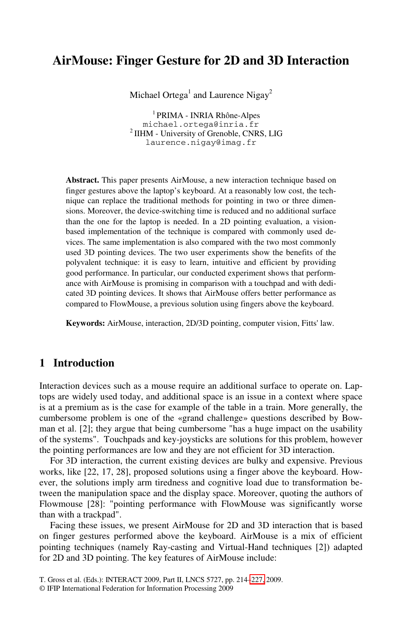## **AirMouse: Finger Gesture for 2D and 3D Interaction**

Michael Ortega<sup>1</sup> and Laurence Nigay<sup>2</sup>

<sup>1</sup> PRIMA - INRIA Rhône-Alpes<br>michael.ortega@inria.fr  $2$  IIHM - University of Grenoble, CNRS, LIG laurence.nigay@imag.fr

**Abstract.** This paper presents AirMouse, a new interaction technique based on finger gestures above the laptop's keyboard. At a reasonably low cost, the technique can replace the traditional methods for pointing in two or three dimensions. Moreover, the device-switching time is reduced and no additional surface than the one for the laptop is needed. In a 2D pointing evaluation, a visionbased implementation of the technique is compared with commonly used devices. The same implementation is also compared with the two most commonly used 3D pointing devices. The two user experiments show the benefits of the polyvalent technique: it is easy to learn, intuitive and efficient by providing good performance. In particular, our conducted experiment shows that performance with AirMouse is promising in comparison with a touchpad and with dedicated 3D pointing devices. It shows that AirMouse offers better performance as compared to FlowMouse, a previous solution using fingers above the keyboard.

**Keywords:** AirMouse, interaction, 2D/3D pointing, computer vision, Fitts' law.

## **1 Introduction**

Interaction devices such as a mouse require an additional surface to operate on. Laptops are widely used today, and additional space is an issue in a context where space is at a premium as is the case for example of the table in a train. More generally, the cumbersome problem is one of the «grand challenge» questions described by Bowman et al. [2]; they argue that being cumbersome "has a huge impact on the usability of the systems". Touchpads and key-joysticks are solutions for this problem, however the pointing performances are low and they are not efficient for 3D interaction.

For 3D interaction, the current existing devices are bulky and expensive. Previous works, like [22, 17, 28], proposed solutions using a finger above the keyboard. However, the solutions imply arm tiredness and cognitive load due to transformation between the manipulation space and t[he d](#page-13-0)isplay space. Moreover, quoting the authors of Flowmouse [28]: "pointing performance with FlowMouse was significantly worse than with a trackpad".

Facing these issues, we present AirMouse for 2D and 3D interaction that is based on finger gestures performed above the keyboard. AirMouse is a mix of efficient pointing techniques (namely Ray-casting and Virtual-Hand techniques [2]) adapted for 2D and 3D pointing. The key features of AirMouse include:

T. Gross et al. (Eds.): INTERACT 2009, Part II, LNCS 5727, pp. 214–227, 2009.

<sup>©</sup> IFIP International Federation for Information Processing 2009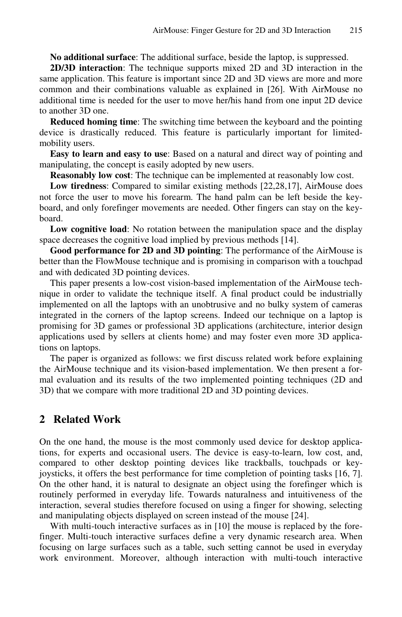**No additional surface**: The additional surface, beside the laptop, is suppressed.

**2D/3D interaction**: The technique supports mixed 2D and 3D interaction in the same application. This feature is important since 2D and 3D views are more and more common and their combinations valuable as explained in [26]. With AirMouse no additional time is needed for the user to move her/his hand from one input 2D device to another 3D one.

**Reduced homing time**: The switching time between the keyboard and the pointing device is drastically reduced. This feature is particularly important for limitedmobility users.

**Easy to learn and easy to use**: Based on a natural and direct way of pointing and manipulating, the concept is easily adopted by new users.

**Reasonably low cost**: The technique can be implemented at reasonably low cost.

**Low tiredness**: Compared to similar existing methods [22,28,17], AirMouse does not force the user to move his forearm. The hand palm can be left beside the keyboard, and only forefinger movements are needed. Other fingers can stay on the keyboard.

**Low cognitive load**: No rotation between the manipulation space and the display space decreases the cognitive load implied by previous methods [14].

**Good performance for 2D and 3D pointing**: The performance of the AirMouse is better than the FlowMouse technique and is promising in comparison with a touchpad and with dedicated 3D pointing devices.

This paper presents a low-cost vision-based implementation of the AirMouse technique in order to validate the technique itself. A final product could be industrially implemented on all the laptops with an unobtrusive and no bulky system of cameras integrated in the corners of the laptop screens. Indeed our technique on a laptop is promising for 3D games or professional 3D applications (architecture, interior design applications used by sellers at clients home) and may foster even more 3D applications on laptops.

The paper is organized as follows: we first discuss related work before explaining the AirMouse technique and its vision-based implementation. We then present a formal evaluation and its results of the two implemented pointing techniques (2D and 3D) that we compare with more traditional 2D and 3D pointing devices.

### **2 Related Work**

On the one hand, the mouse is the most commonly used device for desktop applications, for experts and occasional users. The device is easy-to-learn, low cost, and, compared to other desktop pointing devices like trackballs, touchpads or keyjoysticks, it offers the best performance for time completion of pointing tasks [16, 7]. On the other hand, it is natural to designate an object using the forefinger which is routinely performed in everyday life. Towards naturalness and intuitiveness of the interaction, several studies therefore focused on using a finger for showing, selecting and manipulating objects displayed on screen instead of the mouse [24].

With multi-touch interactive surfaces as in [10] the mouse is replaced by the forefinger. Multi-touch interactive surfaces define a very dynamic research area. When focusing on large surfaces such as a table, such setting cannot be used in everyday work environment. Moreover, although interaction with multi-touch interactive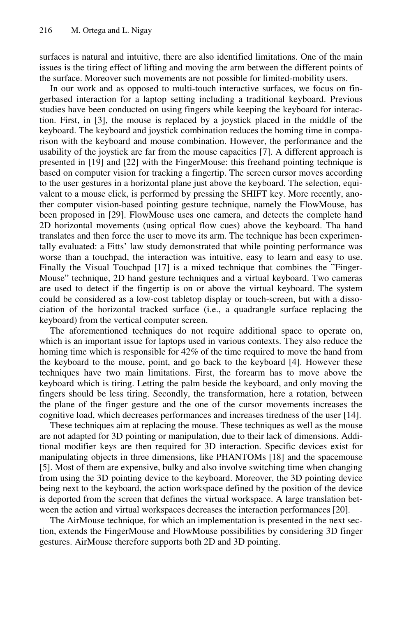surfaces is natural and intuitive, there are also identified limitations. One of the main issues is the tiring effect of lifting and moving the arm between the different points of the surface. Moreover such movements are not possible for limited-mobility users.

In our work and as opposed to multi-touch interactive surfaces, we focus on fingerbased interaction for a laptop setting including a traditional keyboard. Previous studies have been conducted on using fingers while keeping the keyboard for interaction. First, in [3], the mouse is replaced by a joystick placed in the middle of the keyboard. The keyboard and joystick combination reduces the homing time in comparison with the keyboard and mouse combination. However, the performance and the usability of the joystick are far from the mouse capacities [7]. A different approach is presented in [19] and [22] with the FingerMouse: this freehand pointing technique is based on computer vision for tracking a fingertip. The screen cursor moves according to the user gestures in a horizontal plane just above the keyboard. The selection, equivalent to a mouse click, is performed by pressing the SHIFT key. More recently, another computer vision-based pointing gesture technique, namely the FlowMouse, has been proposed in [29]. FlowMouse uses one camera, and detects the complete hand 2D horizontal movements (using optical flow cues) above the keyboard. Tha hand translates and then force the user to move its arm. The technique has been experimentally evaluated: a Fitts' law study demonstrated that while pointing performance was worse than a touchpad, the interaction was intuitive, easy to learn and easy to use. Finally the Visual Touchpad [17] is a mixed technique that combines the "Finger-Mouse" technique, 2D hand gesture techniques and a virtual keyboard. Two cameras are used to detect if the fingertip is on or above the virtual keyboard. The system could be considered as a low-cost tabletop display or touch-screen, but with a dissociation of the horizontal tracked surface (i.e., a quadrangle surface replacing the keyboard) from the vertical computer screen.

The aforementioned techniques do not require additional space to operate on, which is an important issue for laptops used in various contexts. They also reduce the homing time which is responsible for 42% of the time required to move the hand from the keyboard to the mouse, point, and go back to the keyboard [4]. However these techniques have two main limitations. First, the forearm has to move above the keyboard which is tiring. Letting the palm beside the keyboard, and only moving the fingers should be less tiring. Secondly, the transformation, here a rotation, between the plane of the finger gesture and the one of the cursor movements increases the cognitive load, which decreases performances and increases tiredness of the user [14].

These techniques aim at replacing the mouse. These techniques as well as the mouse are not adapted for 3D pointing or manipulation, due to their lack of dimensions. Additional modifier keys are then required for 3D interaction. Specific devices exist for manipulating objects in three dimensions, like PHANTOMs [18] and the spacemouse [5]. Most of them are expensive, bulky and also involve switching time when changing from using the 3D pointing device to the keyboard. Moreover, the 3D pointing device being next to the keyboard, the action workspace defined by the position of the device is deported from the screen that defines the virtual workspace. A large translation between the action and virtual workspaces decreases the interaction performances [20].

The AirMouse technique, for which an implementation is presented in the next section, extends the FingerMouse and FlowMouse possibilities by considering 3D finger gestures. AirMouse therefore supports both 2D and 3D pointing.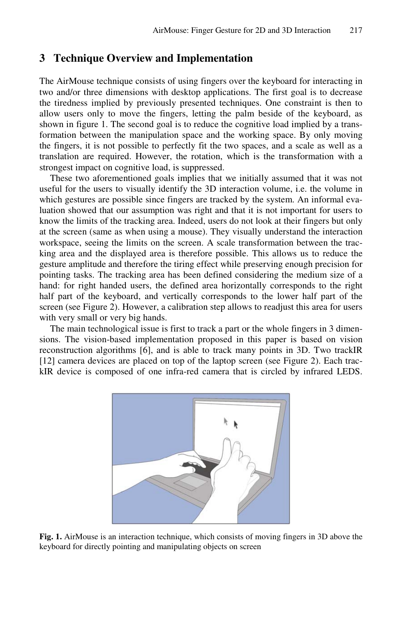#### **3 Technique Overview and Implementation**

The AirMouse technique consists of using fingers over the keyboard for interacting in two and/or three dimensions with desktop applications. The first goal is to decrease the tiredness implied by previously presented techniques. One constraint is then to allow users only to move the fingers, letting the palm beside of the keyboard, as shown in figure 1. The second goal is to reduce the cognitive load implied by a transformation between the manipulation space and the working space. By only moving the fingers, it is not possible to perfectly fit the two spaces, and a scale as well as a translation are required. However, the rotation, which is the transformation with a strongest impact on cognitive load, is suppressed.

These two aforementioned goals implies that we initially assumed that it was not useful for the users to visually identify the 3D interaction volume, i.e. the volume in which gestures are possible since fingers are tracked by the system. An informal evaluation showed that our assumption was right and that it is not important for users to know the limits of the tracking area. Indeed, users do not look at their fingers but only at the screen (same as when using a mouse). They visually understand the interaction workspace, seeing the limits on the screen. A scale transformation between the tracking area and the displayed area is therefore possible. This allows us to reduce the gesture amplitude and therefore the tiring effect while preserving enough precision for pointing tasks. The tracking area has been defined considering the medium size of a hand: for right handed users, the defined area horizontally corresponds to the right half part of the keyboard, and vertically corresponds to the lower half part of the screen (see Figure 2). However, a calibration step allows to readjust this area for users with very small or very big hands.

The main technological issue is first to track a part or the whole fingers in 3 dimensions. The vision-based implementation proposed in this paper is based on vision reconstruction algorithms [6], and is able to track many points in 3D. Two trackIR [12] camera devices are placed on top of the laptop screen (see Figure 2). Each trackIR device is composed of one infra-red camera that is circled by infrared LEDS.



**Fig. 1.** AirMouse is an interaction technique, which consists of moving fingers in 3D above the keyboard for directly pointing and manipulating objects on screen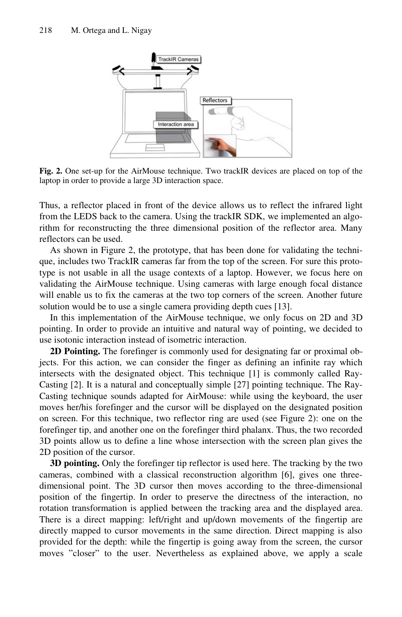

**Fig. 2.** One set-up for the AirMouse technique. Two trackIR devices are placed on top of the laptop in order to provide a large 3D interaction space.

Thus, a reflector placed in front of the device allows us to reflect the infrared light from the LEDS back to the camera. Using the trackIR SDK, we implemented an algorithm for reconstructing the three dimensional position of the reflector area. Many reflectors can be used.

As shown in Figure 2, the prototype, that has been done for validating the technique, includes two TrackIR cameras far from the top of the screen. For sure this prototype is not usable in all the usage contexts of a laptop. However, we focus here on validating the AirMouse technique. Using cameras with large enough focal distance will enable us to fix the cameras at the two top corners of the screen. Another future solution would be to use a single camera providing depth cues [13].

In this implementation of the AirMouse technique, we only focus on 2D and 3D pointing. In order to provide an intuitive and natural way of pointing, we decided to use isotonic interaction instead of isometric interaction.

**2D Pointing.** The forefinger is commonly used for designating far or proximal objects. For this action, we can consider the finger as defining an infinite ray which intersects with the designated object. This technique [1] is commonly called Ray-Casting [2]. It is a natural and conceptually simple [27] pointing technique. The Ray-Casting technique sounds adapted for AirMouse: while using the keyboard, the user moves her/his forefinger and the cursor will be displayed on the designated position on screen. For this technique, two reflector ring are used (see Figure 2): one on the forefinger tip, and another one on the forefinger third phalanx. Thus, the two recorded 3D points allow us to define a line whose intersection with the screen plan gives the 2D position of the cursor.

**3D pointing.** Only the forefinger tip reflector is used here. The tracking by the two cameras, combined with a classical reconstruction algorithm [6], gives one threedimensional point. The 3D cursor then moves according to the three-dimensional position of the fingertip. In order to preserve the directness of the interaction, no rotation transformation is applied between the tracking area and the displayed area. There is a direct mapping: left/right and up/down movements of the fingertip are directly mapped to cursor movements in the same direction. Direct mapping is also provided for the depth: while the fingertip is going away from the screen, the cursor moves "closer" to the user. Nevertheless as explained above, we apply a scale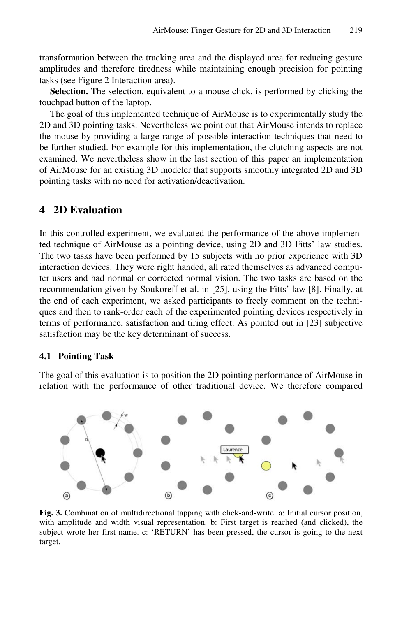transformation between the tracking area and the displayed area for reducing gesture amplitudes and therefore tiredness while maintaining enough precision for pointing tasks (see Figure 2 Interaction area).

**Selection.** The selection, equivalent to a mouse click, is performed by clicking the touchpad button of the laptop.

The goal of this implemented technique of AirMouse is to experimentally study the 2D and 3D pointing tasks. Nevertheless we point out that AirMouse intends to replace the mouse by providing a large range of possible interaction techniques that need to be further studied. For example for this implementation, the clutching aspects are not examined. We nevertheless show in the last section of this paper an implementation of AirMouse for an existing 3D modeler that supports smoothly integrated 2D and 3D pointing tasks with no need for activation/deactivation.

### **4 2D Evaluation**

In this controlled experiment, we evaluated the performance of the above implemented technique of AirMouse as a pointing device, using 2D and 3D Fitts' law studies. The two tasks have been performed by 15 subjects with no prior experience with 3D interaction devices. They were right handed, all rated themselves as advanced computer users and had normal or corrected normal vision. The two tasks are based on the recommendation given by Soukoreff et al. in [25], using the Fitts' law [8]. Finally, at the end of each experiment, we asked participants to freely comment on the techniques and then to rank-order each of the experimented pointing devices respectively in terms of performance, satisfaction and tiring effect. As pointed out in [23] subjective satisfaction may be the key determinant of success.

#### **4.1 Pointing Task**

The goal of this evaluation is to position the 2D pointing performance of AirMouse in relation with the performance of other traditional device. We therefore compared



**Fig. 3.** Combination of multidirectional tapping with click-and-write. a: Initial cursor position, with amplitude and width visual representation. b: First target is reached (and clicked), the subject wrote her first name. c: 'RETURN' has been pressed, the cursor is going to the next target.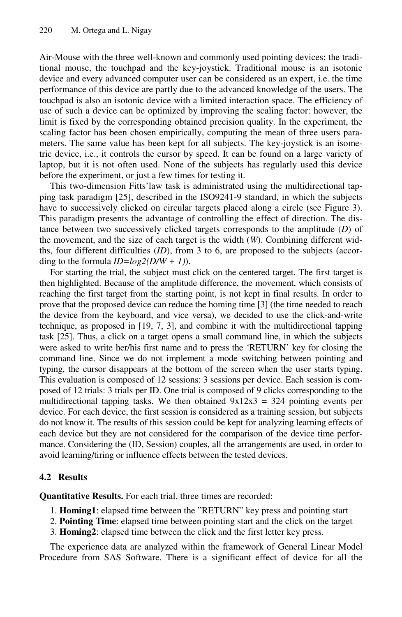Air-Mouse with the three well-known and commonly used pointing devices: the traditional mouse, the touchpad and the key-joystick. Traditional mouse is an isotonic device and every advanced computer user can be considered as an expert, i.e. the time performance of this device are partly due to the advanced knowledge of the users. The touchpad is also an isotonic device with a limited interaction space. The efficiency of use of such a device can be optimized by improving the scaling factor: however, the limit is fixed by the corresponding obtained precision quality. In the experiment, the scaling factor has been chosen empirically, computing the mean of three users parameters. The same value has been kept for all subjects. The key-joystick is an isometric device, i.e., it controls the cursor by speed. It can be found on a large variety of laptop, but it is not often used. None of the subjects has regularly used this device before the experiment, or just a few times for testing it.

This two-dimension Fitts'law task is administrated using the multidirectional tapping task paradigm [25], described in the ISO9241-9 standard, in which the subjects have to successively clicked on circular targets placed along a circle (see Figure 3). This paradigm presents the advantage of controlling the effect of direction. The distance between two successively clicked targets corresponds to the amplitude (*D*) of the movement, and the size of each target is the width (*W*). Combining different widths, four different difficulties (*ID*), from 3 to 6, are proposed to the subjects (according to the formula  $ID = log2(D/W + 1)$ .

For starting the trial, the subject must click on the centered target. The first target is then highlighted. Because of the amplitude difference, the movement, which consists of reaching the first target from the starting point, is not kept in final results. In order to prove that the proposed device can reduce the homing time [3] (the time needed to reach the device from the keyboard, and vice versa), we decided to use the click-and-write technique, as proposed in [19, 7, 3], and combine it with the multidirectional tapping task [25]. Thus, a click on a target opens a small command line, in which the subjects were asked to write her/his first name and to press the 'RETURN' key for closing the command line. Since we do not implement a mode switching between pointing and typing, the cursor disappears at the bottom of the screen when the user starts typing. This evaluation is composed of 12 sessions: 3 sessions per device. Each session is composed of 12 trials: 3 trials per ID. One trial is composed of 9 clicks corresponding to the multidirectional tapping tasks. We then obtained  $9x12x3 = 324$  pointing events per device. For each device, the first session is considered as a training session, but subjects do not know it. The results of this session could be kept for analyzing learning effects of each device but they are not considered for the comparison of the device time performance. Considering the (ID, Session) couples, all the arrangements are used, in order to avoid learning/tiring or influence effects between the tested devices.

#### **4.2 Results**

**Quantitative Results.** For each trial, three times are recorded:

- 1. **Homing1**: elapsed time between the "RETURN" key press and pointing start
- 2. **Pointing Time**: elapsed time between pointing start and the click on the target
- 3. **Homing2**: elapsed time between the click and the first letter key press.

The experience data are analyzed within the framework of General Linear Model Procedure from SAS Software. There is a significant effect of device for all the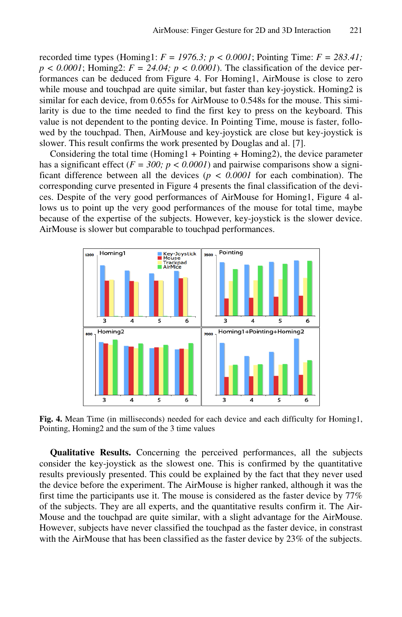recorded time types (Homing1: *F = 1976.3; p < 0.0001*; Pointing Time: *F = 283.41;*   $p < 0.0001$ ; Homing2:  $F = 24.04$ ;  $p < 0.0001$ ). The classification of the device performances can be deduced from Figure 4. For Homing1, AirMouse is close to zero while mouse and touchpad are quite similar, but faster than key-joystick. Homing2 is similar for each device, from 0.655s for AirMouse to 0.548s for the mouse. This similarity is due to the time needed to find the first key to press on the keyboard. This value is not dependent to the ponting device. In Pointing Time, mouse is faster, followed by the touchpad. Then, AirMouse and key-joystick are close but key-joystick is slower. This result confirms the work presented by Douglas and al. [7].

Considering the total time (Homing1 + Pointing + Homing2), the device parameter has a significant effect ( $F = 300$ ;  $p < 0.0001$ ) and pairwise comparisons show a significant difference between all the devices  $(p < 0.0001$  for each combination). The corresponding curve presented in Figure 4 presents the final classification of the devices. Despite of the very good performances of AirMouse for Homing1, Figure 4 allows us to point up the very good performances of the mouse for total time, maybe because of the expertise of the subjects. However, key-joystick is the slower device. AirMouse is slower but comparable to touchpad performances.



**Fig. 4.** Mean Time (in milliseconds) needed for each device and each difficulty for Homing1, Pointing, Homing2 and the sum of the 3 time values

**Qualitative Results.** Concerning the perceived performances, all the subjects consider the key-joystick as the slowest one. This is confirmed by the quantitative results previously presented. This could be explained by the fact that they never used the device before the experiment. The AirMouse is higher ranked, although it was the first time the participants use it. The mouse is considered as the faster device by 77% of the subjects. They are all experts, and the quantitative results confirm it. The Air-Mouse and the touchpad are quite similar, with a slight advantage for the AirMouse. However, subjects have never classified the touchpad as the faster device, in constrast with the AirMouse that has been classified as the faster device by 23% of the subjects.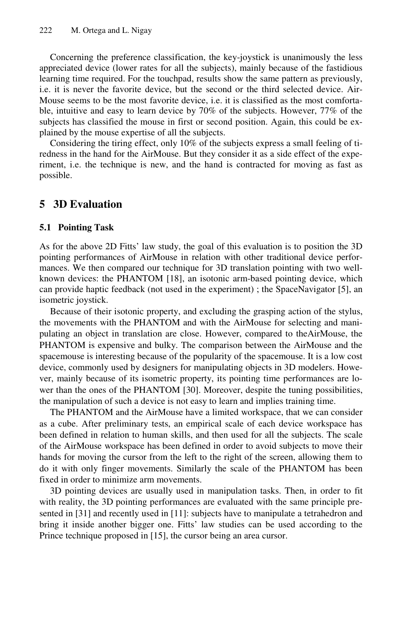Concerning the preference classification, the key-joystick is unanimously the less appreciated device (lower rates for all the subjects), mainly because of the fastidious learning time required. For the touchpad, results show the same pattern as previously, i.e. it is never the favorite device, but the second or the third selected device. Air-Mouse seems to be the most favorite device, i.e. it is classified as the most comfortable, intuitive and easy to learn device by 70% of the subjects. However, 77% of the subjects has classified the mouse in first or second position. Again, this could be explained by the mouse expertise of all the subjects.

Considering the tiring effect, only 10% of the subjects express a small feeling of tiredness in the hand for the AirMouse. But they consider it as a side effect of the experiment, i.e. the technique is new, and the hand is contracted for moving as fast as possible.

### **5 3D Evaluation**

#### **5.1 Pointing Task**

As for the above 2D Fitts' law study, the goal of this evaluation is to position the 3D pointing performances of AirMouse in relation with other traditional device performances. We then compared our technique for 3D translation pointing with two wellknown devices: the PHANTOM [18], an isotonic arm-based pointing device, which can provide haptic feedback (not used in the experiment) ; the SpaceNavigator [5], an isometric joystick.

Because of their isotonic property, and excluding the grasping action of the stylus, the movements with the PHANTOM and with the AirMouse for selecting and manipulating an object in translation are close. However, compared to theAirMouse, the PHANTOM is expensive and bulky. The comparison between the AirMouse and the spacemouse is interesting because of the popularity of the spacemouse. It is a low cost device, commonly used by designers for manipulating objects in 3D modelers. However, mainly because of its isometric property, its pointing time performances are lower than the ones of the PHANTOM [30]. Moreover, despite the tuning possibilities, the manipulation of such a device is not easy to learn and implies training time.

The PHANTOM and the AirMouse have a limited workspace, that we can consider as a cube. After preliminary tests, an empirical scale of each device workspace has been defined in relation to human skills, and then used for all the subjects. The scale of the AirMouse workspace has been defined in order to avoid subjects to move their hands for moving the cursor from the left to the right of the screen, allowing them to do it with only finger movements. Similarly the scale of the PHANTOM has been fixed in order to minimize arm movements.

3D pointing devices are usually used in manipulation tasks. Then, in order to fit with reality, the 3D pointing performances are evaluated with the same principle presented in [31] and recently used in [11]: subjects have to manipulate a tetrahedron and bring it inside another bigger one. Fitts' law studies can be used according to the Prince technique proposed in [15], the cursor being an area cursor.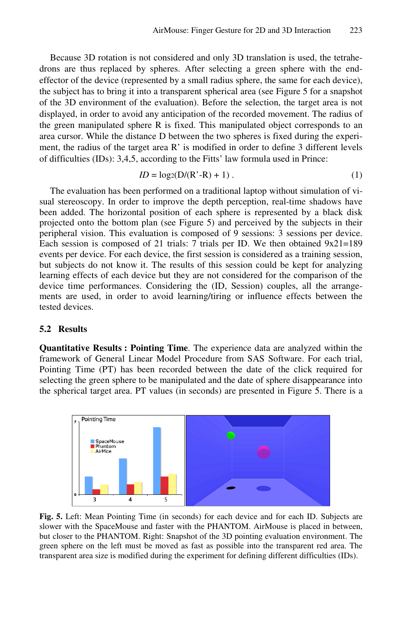Because 3D rotation is not considered and only 3D translation is used, the tetrahedrons are thus replaced by spheres. After selecting a green sphere with the endeffector of the device (represented by a small radius sphere, the same for each device), the subject has to bring it into a transparent spherical area (see Figure 5 for a snapshot of the 3D environment of the evaluation). Before the selection, the target area is not displayed, in order to avoid any anticipation of the recorded movement. The radius of the green manipulated sphere R is fixed. This manipulated object corresponds to an area cursor. While the distance D between the two spheres is fixed during the experiment, the radius of the target area R' is modified in order to define 3 different levels of difficulties (IDs): 3,4,5, according to the Fitts' law formula used in Prince:

$$
ID = \log_2(D/(R'-R) + 1) \tag{1}
$$

The evaluation has been performed on a traditional laptop without simulation of visual stereoscopy. In order to improve the depth perception, real-time shadows have been added. The horizontal position of each sphere is represented by a black disk projected onto the bottom plan (see Figure 5) and perceived by the subjects in their peripheral vision. This evaluation is composed of 9 sessions: 3 sessions per device. Each session is composed of 21 trials: 7 trials per ID. We then obtained  $9x21=189$ events per device. For each device, the first session is considered as a training session, but subjects do not know it. The results of this session could be kept for analyzing learning effects of each device but they are not considered for the comparison of the device time performances. Considering the (ID, Session) couples, all the arrangements are used, in order to avoid learning/tiring or influence effects between the tested devices.

#### **5.2 Results**

**Quantitative Results : Pointing Time**. The experience data are analyzed within the framework of General Linear Model Procedure from SAS Software. For each trial, Pointing Time (PT) has been recorded between the date of the click required for selecting the green sphere to be manipulated and the date of sphere disappearance into the spherical target area. PT values (in seconds) are presented in Figure 5. There is a



**Fig. 5.** Left: Mean Pointing Time (in seconds) for each device and for each ID. Subjects are slower with the SpaceMouse and faster with the PHANTOM. AirMouse is placed in between, but closer to the PHANTOM. Right: Snapshot of the 3D pointing evaluation environment. The green sphere on the left must be moved as fast as possible into the transparent red area. The transparent area size is modified during the experiment for defining different difficulties (IDs).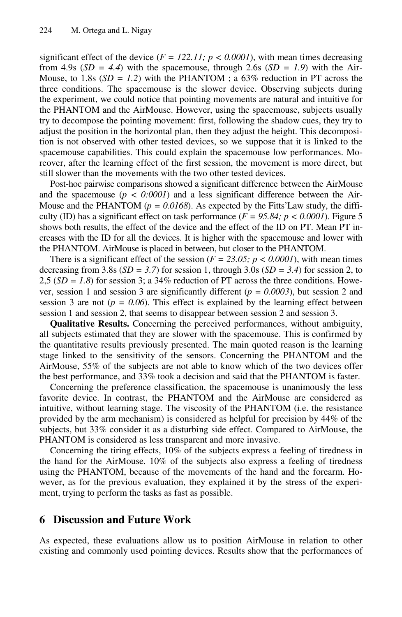significant effect of the device  $(F = 122.11; p < 0.0001)$ , with mean times decreasing from 4.9s  $(SD = 4.4)$  with the spacemouse, through 2.6s  $(SD = 1.9)$  with the Air-Mouse, to 1.8s  $(SD = 1.2)$  with the PHANTOM; a 63% reduction in PT across the three conditions. The spacemouse is the slower device. Observing subjects during the experiment, we could notice that pointing movements are natural and intuitive for the PHANTOM and the AirMouse. However, using the spacemouse, subjects usually try to decompose the pointing movement: first, following the shadow cues, they try to adjust the position in the horizontal plan, then they adjust the height. This decomposition is not observed with other tested devices, so we suppose that it is linked to the spacemouse capabilities. This could explain the spacemouse low performances. Moreover, after the learning effect of the first session, the movement is more direct, but still slower than the movements with the two other tested devices.

Post-hoc pairwise comparisons showed a significant difference between the AirMouse and the spacemouse  $(p < 0.0001)$  and a less significant difference between the Air-Mouse and the PHANTOM ( $p = 0.0168$ ). As expected by the Fitts'Law study, the difficulty (ID) has a significant effect on task performance  $(F = 95.84; p < 0.0001)$ . Figure 5 shows both results, the effect of the device and the effect of the ID on PT. Mean PT increases with the ID for all the devices. It is higher with the spacemouse and lower with the PHANTOM. AirMouse is placed in between, but closer to the PHANTOM.

There is a significant effect of the session  $(F = 23.05; p < 0.0001)$ , with mean times decreasing from 3.8s ( $SD = 3.7$ ) for session 1, through 3.0s ( $SD = 3.4$ ) for session 2, to 2,5  $(SD = 1.8)$  for session 3; a 34% reduction of PT across the three conditions. However, session 1 and session 3 are significantly different (*p = 0.0003*), but session 2 and session 3 are not ( $p = 0.06$ ). This effect is explained by the learning effect between session 1 and session 2, that seems to disappear between session 2 and session 3.

**Qualitative Results.** Concerning the perceived performances, without ambiguity, all subjects estimated that they are slower with the spacemouse. This is confirmed by the quantitative results previously presented. The main quoted reason is the learning stage linked to the sensitivity of the sensors. Concerning the PHANTOM and the AirMouse, 55% of the subjects are not able to know which of the two devices offer the best performance, and 33% took a decision and said that the PHANTOM is faster.

Concerning the preference classification, the spacemouse is unanimously the less favorite device. In contrast, the PHANTOM and the AirMouse are considered as intuitive, without learning stage. The viscosity of the PHANTOM (i.e. the resistance provided by the arm mechanism) is considered as helpful for precision by 44% of the subjects, but 33% consider it as a disturbing side effect. Compared to AirMouse, the PHANTOM is considered as less transparent and more invasive.

Concerning the tiring effects, 10% of the subjects express a feeling of tiredness in the hand for the AirMouse. 10% of the subjects also express a feeling of tiredness using the PHANTOM, because of the movements of the hand and the forearm. However, as for the previous evaluation, they explained it by the stress of the experiment, trying to perform the tasks as fast as possible.

### **6 Discussion and Future Work**

As expected, these evaluations allow us to position AirMouse in relation to other existing and commonly used pointing devices. Results show that the performances of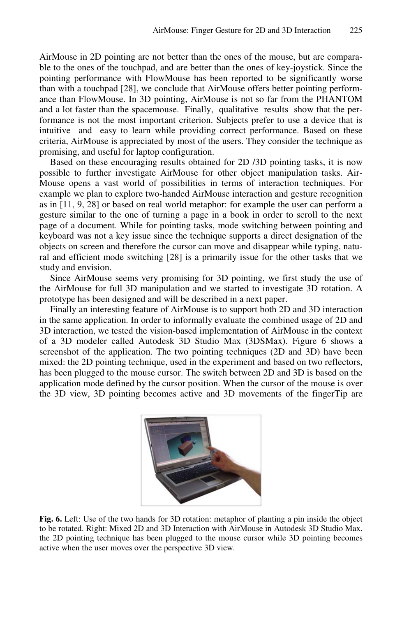AirMouse in 2D pointing are not better than the ones of the mouse, but are comparable to the ones of the touchpad, and are better than the ones of key-joystick. Since the pointing performance with FlowMouse has been reported to be significantly worse than with a touchpad [28], we conclude that AirMouse offers better pointing performance than FlowMouse. In 3D pointing, AirMouse is not so far from the PHANTOM and a lot faster than the spacemouse. Finally, qualitative results show that the performance is not the most important criterion. Subjects prefer to use a device that is intuitive and easy to learn while providing correct performance. Based on these criteria, AirMouse is appreciated by most of the users. They consider the technique as promising, and useful for laptop configuration.

Based on these encouraging results obtained for 2D /3D pointing tasks, it is now possible to further investigate AirMouse for other object manipulation tasks. Air-Mouse opens a vast world of possibilities in terms of interaction techniques. For example we plan to explore two-handed AirMouse interaction and gesture recognition as in [11, 9, 28] or based on real world metaphor: for example the user can perform a gesture similar to the one of turning a page in a book in order to scroll to the next page of a document. While for pointing tasks, mode switching between pointing and keyboard was not a key issue since the technique supports a direct designation of the objects on screen and therefore the cursor can move and disappear while typing, natural and efficient mode switching [28] is a primarily issue for the other tasks that we study and envision.

Since AirMouse seems very promising for 3D pointing, we first study the use of the AirMouse for full 3D manipulation and we started to investigate 3D rotation. A prototype has been designed and will be described in a next paper.

Finally an interesting feature of AirMouse is to support both 2D and 3D interaction in the same application. In order to informally evaluate the combined usage of 2D and 3D interaction, we tested the vision-based implementation of AirMouse in the context of a 3D modeler called Autodesk 3D Studio Max (3DSMax). Figure 6 shows a screenshot of the application. The two pointing techniques (2D and 3D) have been mixed: the 2D pointing technique, used in the experiment and based on two reflectors, has been plugged to the mouse cursor. The switch between 2D and 3D is based on the application mode defined by the cursor position. When the cursor of the mouse is over the 3D view, 3D pointing becomes active and 3D movements of the fingerTip are



**Fig. 6.** Left: Use of the two hands for 3D rotation: metaphor of planting a pin inside the object to be rotated. Right: Mixed 2D and 3D Interaction with AirMouse in Autodesk 3D Studio Max. the 2D pointing technique has been plugged to the mouse cursor while 3D pointing becomes active when the user moves over the perspective 3D view.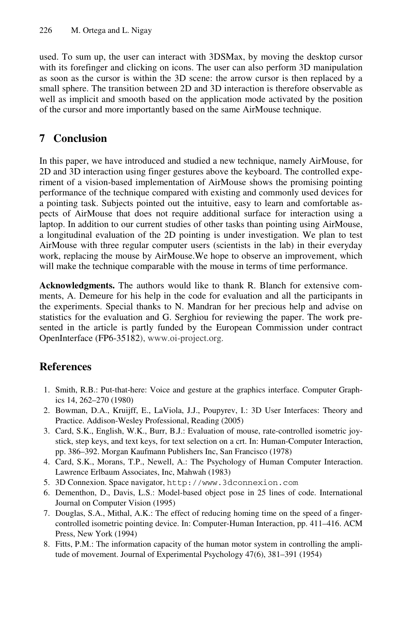used. To sum up, the user can interact with 3DSMax, by moving the desktop cursor with its forefinger and clicking on icons. The user can also perform 3D manipulation as soon as the cursor is within the 3D scene: the arrow cursor is then replaced by a small sphere. The transition between 2D and 3D interaction is therefore observable as well as implicit and smooth based on the application mode activated by the position of the cursor and more importantly based on the same AirMouse technique.

## **7 Conclusion**

In this paper, we have introduced and studied a new technique, namely AirMouse, for 2D and 3D interaction using finger gestures above the keyboard. The controlled experiment of a vision-based implementation of AirMouse shows the promising pointing performance of the technique compared with existing and commonly used devices for a pointing task. Subjects pointed out the intuitive, easy to learn and comfortable aspects of AirMouse that does not require additional surface for interaction using a laptop. In addition to our current studies of other tasks than pointing using AirMouse, a longitudinal evaluation of the 2D pointing is under investigation. We plan to test AirMouse with three regular computer users (scientists in the lab) in their everyday work, replacing the mouse by AirMouse.We hope to observe an improvement, which will make the technique comparable with the mouse in terms of time performance.

**Acknowledgments.** The authors would like to thank R. Blanch for extensive comments, A. Demeure for his help in the code for evaluation and all the participants in the experiments. Special thanks to N. Mandran for her precious help and advise on statistics for the evaluation and G. Serghiou for reviewing the paper. The work presented in the article is partly funded by the European Commission under contract OpenInterface (FP6-35182), www.oi-project.org.

# **References**

- 1. Smith, R.B.: Put-that-here: Voice and gesture at the graphics interface. Computer Graphics 14, 262–270 (1980)
- 2. Bowman, D.A., Kruijff, E., LaViola, J.J., Poupyrev, I.: 3D User Interfaces: Theory and Practice. Addison-Wesley Professional, Reading (2005)
- 3. Card, S.K., English, W.K., Burr, B.J.: Evaluation of mouse, rate-controlled isometric joystick, step keys, and text keys, for text selection on a crt. In: Human-Computer Interaction, pp. 386–392. Morgan Kaufmann Publishers Inc, San Francisco (1978)
- 4. Card, S.K., Morans, T.P., Newell, A.: The Psychology of Human Computer Interaction. Lawrence Erlbaum Associates, Inc, Mahwah (1983)
- 5. 3D Connexion. Space navigator, http://www.3dconnexion.com
- 6. Dementhon, D., Davis, L.S.: Model-based object pose in 25 lines of code. International Journal on Computer Vision (1995)
- 7. Douglas, S.A., Mithal, A.K.: The effect of reducing homing time on the speed of a fingercontrolled isometric pointing device. In: Computer-Human Interaction, pp. 411–416. ACM Press, New York (1994)
- 8. Fitts, P.M.: The information capacity of the human motor system in controlling the amplitude of movement. Journal of Experimental Psychology 47(6), 381–391 (1954)